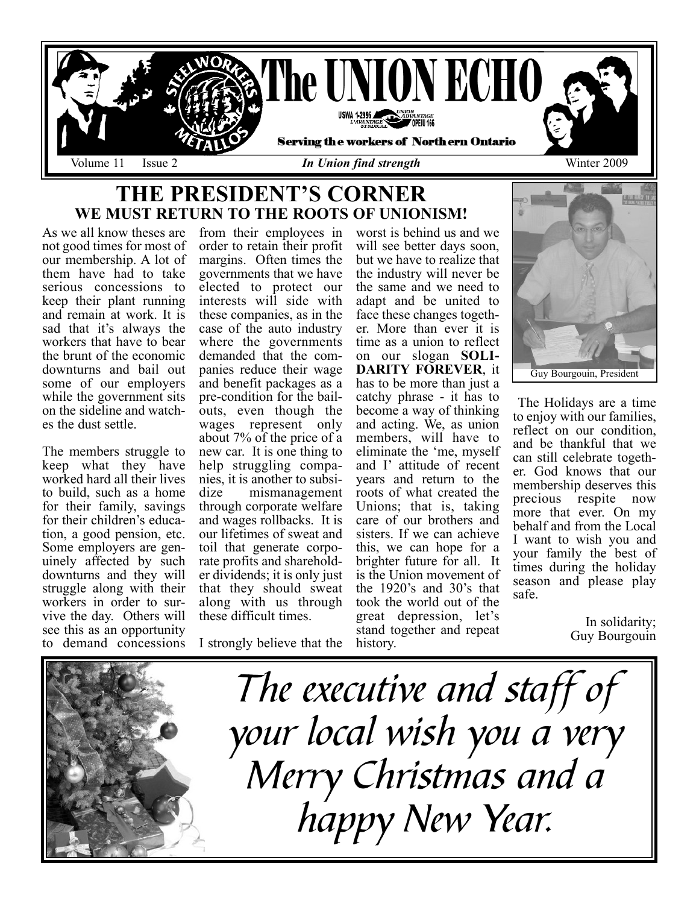

### THE PRESIDENT'S CORNER WE MUST RETURN TO THE ROOTS OF UNIONISM!

As we all know theses are not good times for most of our membership. A lot of them have had to take serious concessions to keep their plant running and remain at work. It is sad that it's always the workers that have to bear the brunt of the economic downturns and bail out some of our employers while the government sits on the sideline and watches the dust settle.

The members struggle to keep what they have worked hard all their lives to build, such as a home for their family, savings for their children's education, a good pension, etc. Some employers are genuinely affected by such downturns and they will struggle along with their workers in order to survive the day. Others will see this as an opportunity to demand concessions

from their employees in order to retain their profit margins. Often times the governments that we have elected to protect our interests will side with these companies, as in the case of the auto industry where the governments demanded that the companies reduce their wage and benefit packages as a pre-condition for the bailouts, even though the wages represent only about 7% of the price of a new car. It is one thing to help struggling companies, it is another to subsidize mismanagement through corporate welfare and wages rollbacks. It is our lifetimes of sweat and toil that generate corporate profits and shareholder dividends; it is only just that they should sweat along with us through these difficult times.

I strongly believe that the

worst is behind us and we will see better days soon, but we have to realize that the industry will never be the same and we need to adapt and be united to face these changes together. More than ever it is time as a union to reflect on our slogan SOLI-DARITY FOREVER, it has to be more than just a catchy phrase - it has to become a way of thinking and acting. We, as union members, will have to eliminate the 'me, myself and I' attitude of recent years and return to the roots of what created the Unions; that is, taking care of our brothers and sisters. If we can achieve this, we can hope for a brighter future for all. It is the Union movement of the 1920's and 30's that took the world out of the great depression, let's stand together and repeat history.



The Holidays are a time to enjoy with our families, reflect on our condition, and be thankful that we can still celebrate together. God knows that our membership deserves this precious respite now more that ever. On my behalf and from the Local I want to wish you and your family the best of times during the holiday season and please play safe.

> In solidarity; Guy Bourgouin

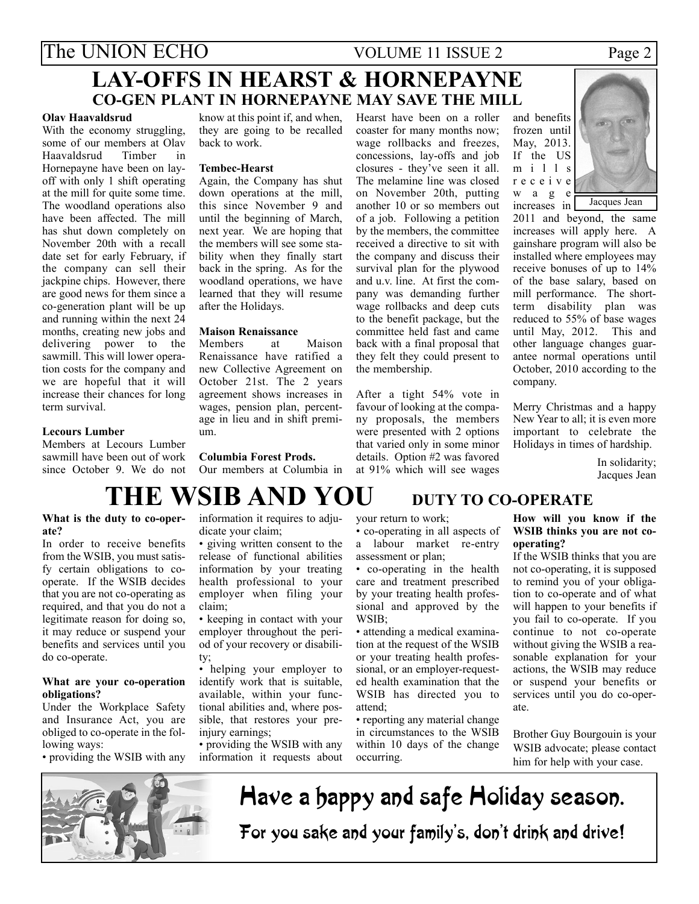### The UNION ECHO VOLUME 11 ISSUE 2 Page 2 LAY-OFFS IN HEARST & HORNEPAYNE CO-GEN PLANT IN HORNEPAYNE MAY SAVE THE MILL

#### Olav Haavaldsrud

With the economy struggling, some of our members at Olav Haavaldsrud Timber in Hornepayne have been on layoff with only 1 shift operating at the mill for quite some time. The woodland operations also have been affected. The mill has shut down completely on November 20th with a recall date set for early February, if the company can sell their jackpine chips. However, there are good news for them since a co-generation plant will be up and running within the next 24 months, creating new jobs and delivering power to the sawmill. This will lower operation costs for the company and we are hopeful that it will increase their chances for long term survival.

know at this point if, and when, they are going to be recalled back to work.

#### Tembec-Hearst

Again, the Company has shut down operations at the mill, this since November 9 and until the beginning of March, next year. We are hoping that the members will see some stability when they finally start back in the spring. As for the woodland operations, we have learned that they will resume after the Holidays.

### Maison Renaissance

Members at Maison Renaissance have ratified a new Collective Agreement on October 21st. The 2 years agreement shows increases in wages, pension plan, percentage in lieu and in shift premium.

#### Columbia Forest Prods.

Our members at Columbia in

## at 91% which will see wages

the membership.

and benefits frozen until May, 2013. If the US m i l l s receive w a g e increases in

Jacques Jean

2011 and beyond, the same increases will apply here. A gainshare program will also be installed where employees may receive bonuses of up to 14% of the base salary, based on mill performance. The shortterm disability plan was reduced to 55% of base wages until May, 2012. This and other language changes guarantee normal operations until October, 2010 according to the company.

Merry Christmas and a happy New Year to all; it is even more important to celebrate the Holidays in times of hardship.

> In solidarity; Jacques Jean

sawmill have been out of work since October 9. We do not

# THE WSIB AND YOU DUTY TO CO-OPERATE

### What is the duty to co-operate?

Members at Lecours Lumber

Lecours Lumber

In order to receive benefits from the WSIB, you must satisfy certain obligations to cooperate. If the WSIB decides that you are not co-operating as required, and that you do not a legitimate reason for doing so, it may reduce or suspend your benefits and services until you do co-operate.

### What are your co-operation obligations?

Under the Workplace Safety and Insurance Act, you are obliged to co-operate in the following ways:

• providing the WSIB with any

information it requires to adjudicate your claim;

• giving written consent to the release of functional abilities information by your treating health professional to your employer when filing your claim;

• keeping in contact with your employer throughout the period of your recovery or disability;

• helping your employer to identify work that is suitable, available, within your functional abilities and, where possible, that restores your preinjury earnings;

• providing the WSIB with any information it requests about

your return to work;

• co-operating in all aspects of a labour market re-entry assessment or plan;

After a tight 54% vote in favour of looking at the company proposals, the members were presented with 2 options that varied only in some minor details. Option #2 was favored

Hearst have been on a roller coaster for many months now; wage rollbacks and freezes, concessions, lay-offs and job closures - they've seen it all. The melamine line was closed on November 20th, putting another 10 or so members out of a job. Following a petition by the members, the committee received a directive to sit with the company and discuss their survival plan for the plywood and u.v. line. At first the company was demanding further wage rollbacks and deep cuts to the benefit package, but the committee held fast and came back with a final proposal that they felt they could present to

• co-operating in the health care and treatment prescribed by your treating health professional and approved by the WSIB;

• attending a medical examination at the request of the WSIB or your treating health professional, or an employer-requested health examination that the WSIB has directed you to attend;

• reporting any material change in circumstances to the WSIB within 10 days of the change occurring.



If the WSIB thinks that you are not co-operating, it is supposed to remind you of your obligation to co-operate and of what will happen to your benefits if you fail to co-operate. If you continue to not co-operate without giving the WSIB a reasonable explanation for your actions, the WSIB may reduce or suspend your benefits or services until you do co-operate.

Brother Guy Bourgouin is your WSIB advocate; please contact him for help with your case.



Have a happy and safe Holiday season. For you sake and your family's, don't drink and drive!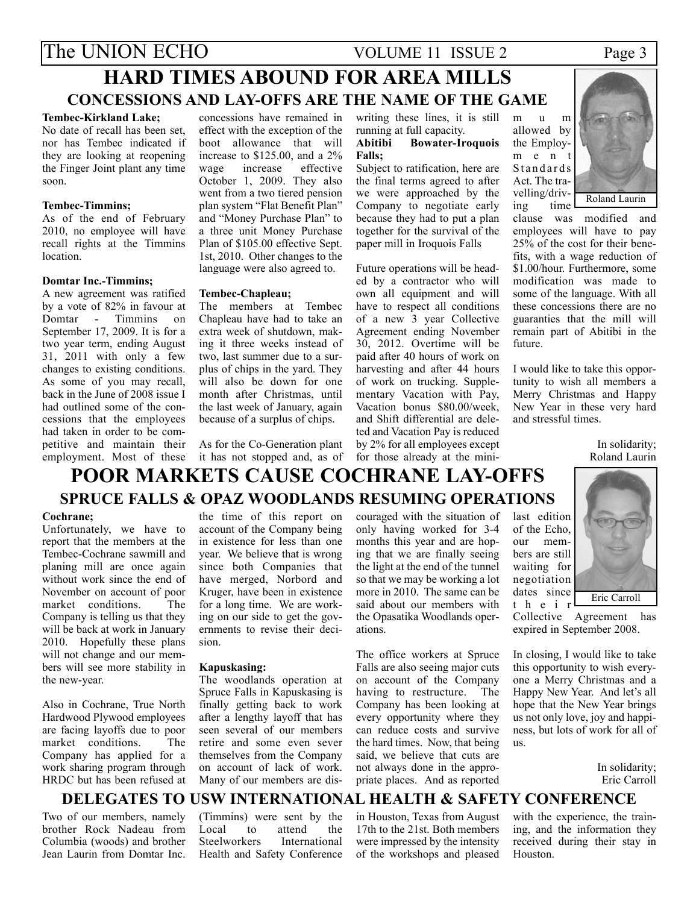### The UNION ECHO VOLUME 11 ISSUE 2 Page 3 HARD TIMES ABOUND FOR AREA MILLS CONCESSIONS AND LAY-OFFS ARE THE NAME OF THE GAME

#### Tembec-Kirkland Lake;

No date of recall has been set, nor has Tembec indicated if they are looking at reopening the Finger Joint plant any time soon.

### Tembec-Timmins;

As of the end of February 2010, no employee will have recall rights at the Timmins location.

### Domtar Inc.-Timmins;

A new agreement was ratified by a vote of 82% in favour at Domtar - Timmins on September 17, 2009. It is for a two year term, ending August 31, 2011 with only a few changes to existing conditions. As some of you may recall, back in the June of 2008 issue I had outlined some of the concessions that the employees had taken in order to be competitive and maintain their employment. Most of these

concessions have remained in effect with the exception of the boot allowance that will increase to \$125.00, and a 2% wage increase effective October 1, 2009. They also went from a two tiered pension plan system "Flat Benefit Plan" and "Money Purchase Plan" to a three unit Money Purchase Plan of \$105.00 effective Sept. 1st, 2010. Other changes to the language were also agreed to.

### Tembec-Chapleau;

The members at Tembec Chapleau have had to take an extra week of shutdown, making it three weeks instead of two, last summer due to a surplus of chips in the yard. They will also be down for one month after Christmas, until the last week of January, again because of a surplus of chips.

As for the Co-Generation plant it has not stopped and, as of writing these lines, it is still running at full capacity. Abitibi Bowater-Iroquois

Falls; Subject to ratification, here are

the final terms agreed to after we were approached by the Company to negotiate early because they had to put a plan together for the survival of the paper mill in Iroquois Falls

Future operations will be headed by a contractor who will own all equipment and will have to respect all conditions of a new 3 year Collective Agreement ending November 30, 2012. Overtime will be paid after 40 hours of work on harvesting and after 44 hours of work on trucking. Supplementary Vacation with Pay, Vacation bonus \$80.00/week, and Shift differential are deleted and Vacation Pay is reduced by 2% for all employees except for those already at the mini-



clause was modified and employees will have to pay 25% of the cost for their benefits, with a wage reduction of \$1.00/hour. Furthermore, some modification was made to some of the language. With all these concessions there are no guaranties that the mill will remain part of Abitibi in the future.

I would like to take this opportunity to wish all members a Merry Christmas and Happy New Year in these very hard and stressful times.

> In solidarity; Roland Laurin

### POOR MARKETS CAUSE COCHRANE LAY-OFFS SPRUCE FALLS & OPAZ WOODLANDS RESUMING OPERATIONS

#### Cochrane;

Unfortunately, we have to report that the members at the Tembec-Cochrane sawmill and planing mill are once again without work since the end of November on account of poor<br>market conditions. The market conditions. Company is telling us that they will be back at work in January 2010. Hopefully these plans will not change and our members will see more stability in the new-year.

Also in Cochrane, True North Hardwood Plywood employees are facing layoffs due to poor<br>market conditions. The market conditions. Company has applied for a work sharing program through HRDC but has been refused at

the time of this report on account of the Company being in existence for less than one year. We believe that is wrong since both Companies that have merged, Norbord and Kruger, have been in existence for a long time. We are working on our side to get the governments to revise their decision.

### Kapuskasing:

The woodlands operation at Spruce Falls in Kapuskasing is finally getting back to work after a lengthy layoff that has seen several of our members retire and some even sever themselves from the Company on account of lack of work. Many of our members are discouraged with the situation of only having worked for 3-4 months this year and are hoping that we are finally seeing the light at the end of the tunnel so that we may be working a lot more in 2010. The same can be said about our members with the Opasatika Woodlands operations.

The office workers at Spruce Falls are also seeing major cuts on account of the Company having to restructure. The Company has been looking at every opportunity where they can reduce costs and survive the hard times. Now, that being said, we believe that cuts are not always done in the appropriate places. And as reported



Collective Agreement has expired in September 2008.

In closing, I would like to take this opportunity to wish everyone a Merry Christmas and a Happy New Year. And let's all hope that the New Year brings us not only love, joy and happiness, but lots of work for all of us.

> In solidarity; Eric Carroll

### DELEGATES TO USW INTERNATIONAL HEALTH & SAFETY CONFERENCE

Two of our members, namely brother Rock Nadeau from Columbia (woods) and brother Jean Laurin from Domtar Inc. (Timmins) were sent by the<br>Local to attend the attend the<br>International Steelworkers Health and Safety Conference

in Houston, Texas from August 17th to the 21st. Both members were impressed by the intensity of the workshops and pleased

with the experience, the training, and the information they received during their stay in Houston.